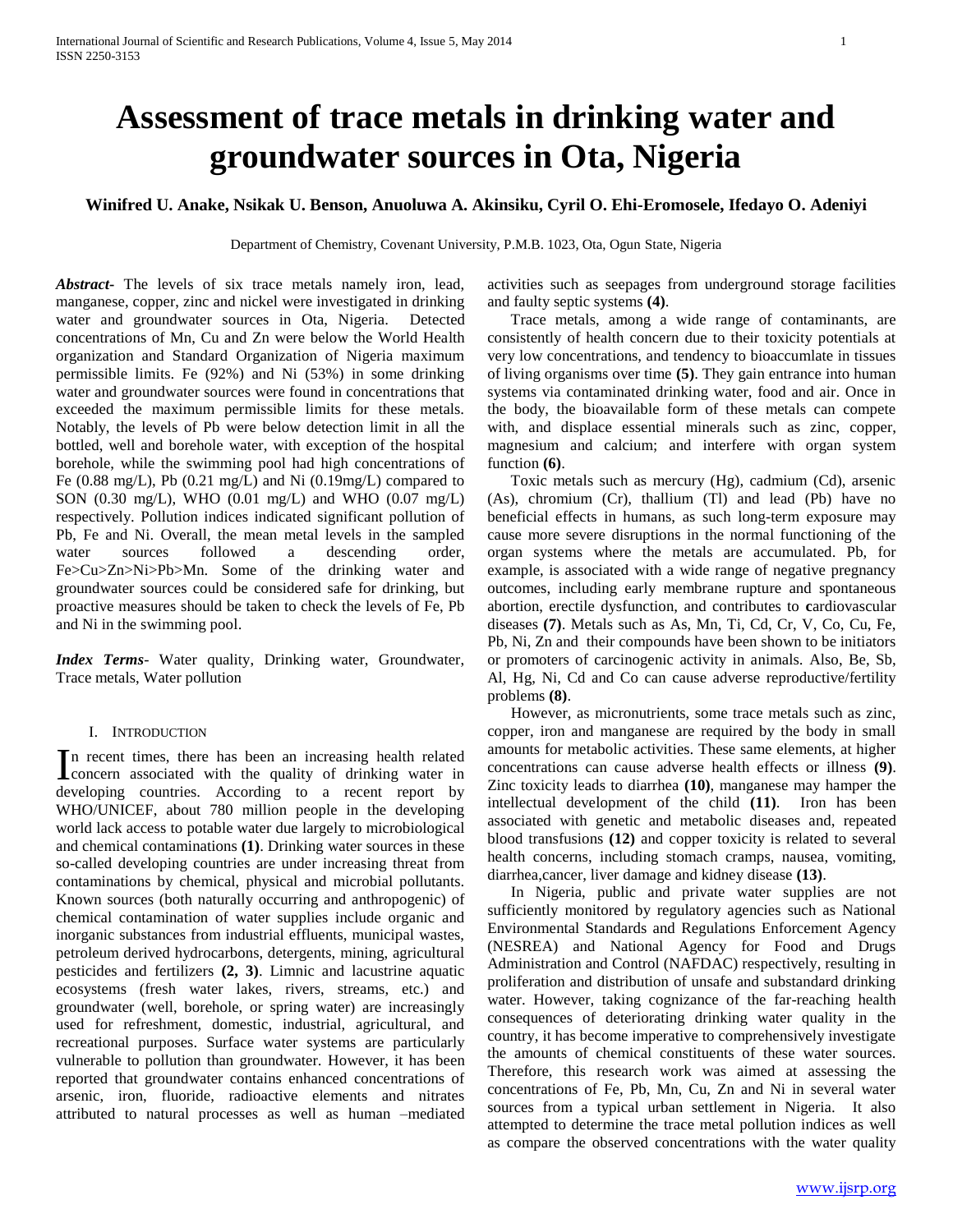## **Assessment of trace metals in drinking water and groundwater sources in Ota, Nigeria**

## **Winifred U. Anake, Nsikak U. Benson, Anuoluwa A. Akinsiku, Cyril O. Ehi-Eromosele, Ifedayo O. Adeniyi**

Department of Chemistry, Covenant University, P.M.B. 1023, Ota, Ogun State, Nigeria

*Abstract***-** The levels of six trace metals namely iron, lead, manganese, copper, zinc and nickel were investigated in drinking water and groundwater sources in Ota, Nigeria. Detected concentrations of Mn, Cu and Zn were below the World Health organization and Standard Organization of Nigeria maximum permissible limits. Fe (92%) and Ni (53%) in some drinking water and groundwater sources were found in concentrations that exceeded the maximum permissible limits for these metals. Notably, the levels of Pb were below detection limit in all the bottled, well and borehole water, with exception of the hospital borehole, while the swimming pool had high concentrations of Fe (0.88 mg/L), Pb (0.21 mg/L) and Ni (0.19mg/L) compared to SON (0.30 mg/L), WHO (0.01 mg/L) and WHO (0.07 mg/L) respectively. Pollution indices indicated significant pollution of Pb, Fe and Ni. Overall, the mean metal levels in the sampled water sources followed a descending order, Fe>Cu>Zn>Ni>Pb>Mn. Some of the drinking water and groundwater sources could be considered safe for drinking, but proactive measures should be taken to check the levels of Fe, Pb and Ni in the swimming pool.

*Index Terms*- Water quality, Drinking water, Groundwater, Trace metals, Water pollution

### I. INTRODUCTION

n recent times, there has been an increasing health related In recent times, there has been an increasing health related concern associated with the quality of drinking water in developing countries. According to a recent report by WHO/UNICEF, about 780 million people in the developing world lack access to potable water due largely to microbiological and chemical contaminations **(1)**. Drinking water sources in these so-called developing countries are under increasing threat from contaminations by chemical, physical and microbial pollutants. Known sources (both naturally occurring and anthropogenic) of chemical contamination of water supplies include organic and inorganic substances from industrial effluents, municipal wastes, petroleum derived hydrocarbons, detergents, mining, agricultural pesticides and fertilizers **(2, 3)**. Limnic and lacustrine aquatic ecosystems (fresh water lakes, rivers, streams, etc.) and groundwater (well, borehole, or spring water) are increasingly used for refreshment, domestic, industrial, agricultural, and recreational purposes. Surface water systems are particularly vulnerable to pollution than groundwater. However, it has been reported that groundwater contains enhanced concentrations of arsenic, iron, fluoride, radioactive elements and nitrates attributed to natural processes as well as human –mediated

activities such as seepages from underground storage facilities and faulty septic systems **(4)**.

 Trace metals, among a wide range of contaminants, are consistently of health concern due to their toxicity potentials at very low concentrations, and tendency to bioaccumlate in tissues of living organisms over time **(5)**. They gain entrance into human systems via contaminated drinking water, food and air. Once in the body, the bioavailable form of these metals can compete with, and displace essential minerals such as zinc, copper, magnesium and calcium; and interfere with organ system function **(6)**.

 Toxic metals such as mercury (Hg), cadmium (Cd), arsenic (As), chromium (Cr), thallium (Tl) and lead (Pb) have no beneficial effects in humans, as such long-term exposure may cause more severe disruptions in the normal functioning of the organ systems where the metals are accumulated. Pb, for example, is associated with a wide range of negative pregnancy outcomes, including early membrane rupture and spontaneous abortion, erectile dysfunction, and contributes to **c**ardiovascular diseases **(7)**. Metals such as As, Mn, Ti, Cd, Cr, V, Co, Cu, Fe, Pb, Ni, Zn and their compounds have been shown to be initiators or promoters of carcinogenic activity in animals. Also, Be, Sb, Al, Hg, Ni, Cd and Co can cause adverse reproductive/fertility problems **(8)**.

 However, as micronutrients, some trace metals such as zinc, copper, iron and manganese are required by the body in small amounts for metabolic activities. These same elements, at higher concentrations can cause adverse health effects or illness **(9)**. Zinc toxicity leads to diarrhea **(10)**, manganese may hamper the intellectual development of the child **(11)**. Iron has been associated with genetic and metabolic diseases and, repeated blood transfusions **(12)** and copper toxicity is related to several health concerns, including stomach cramps, nausea, vomiting, diarrhea,cancer, liver damage and kidney disease **(13)**.

 In Nigeria, public and private water supplies are not sufficiently monitored by regulatory agencies such as National Environmental Standards and Regulations Enforcement Agency (NESREA) and National Agency for Food and Drugs Administration and Control (NAFDAC) respectively, resulting in proliferation and distribution of unsafe and substandard drinking water. However, taking cognizance of the far-reaching health consequences of deteriorating drinking water quality in the country, it has become imperative to comprehensively investigate the amounts of chemical constituents of these water sources. Therefore, this research work was aimed at assessing the concentrations of Fe, Pb, Mn, Cu, Zn and Ni in several water sources from a typical urban settlement in Nigeria. It also attempted to determine the trace metal pollution indices as well as compare the observed concentrations with the water quality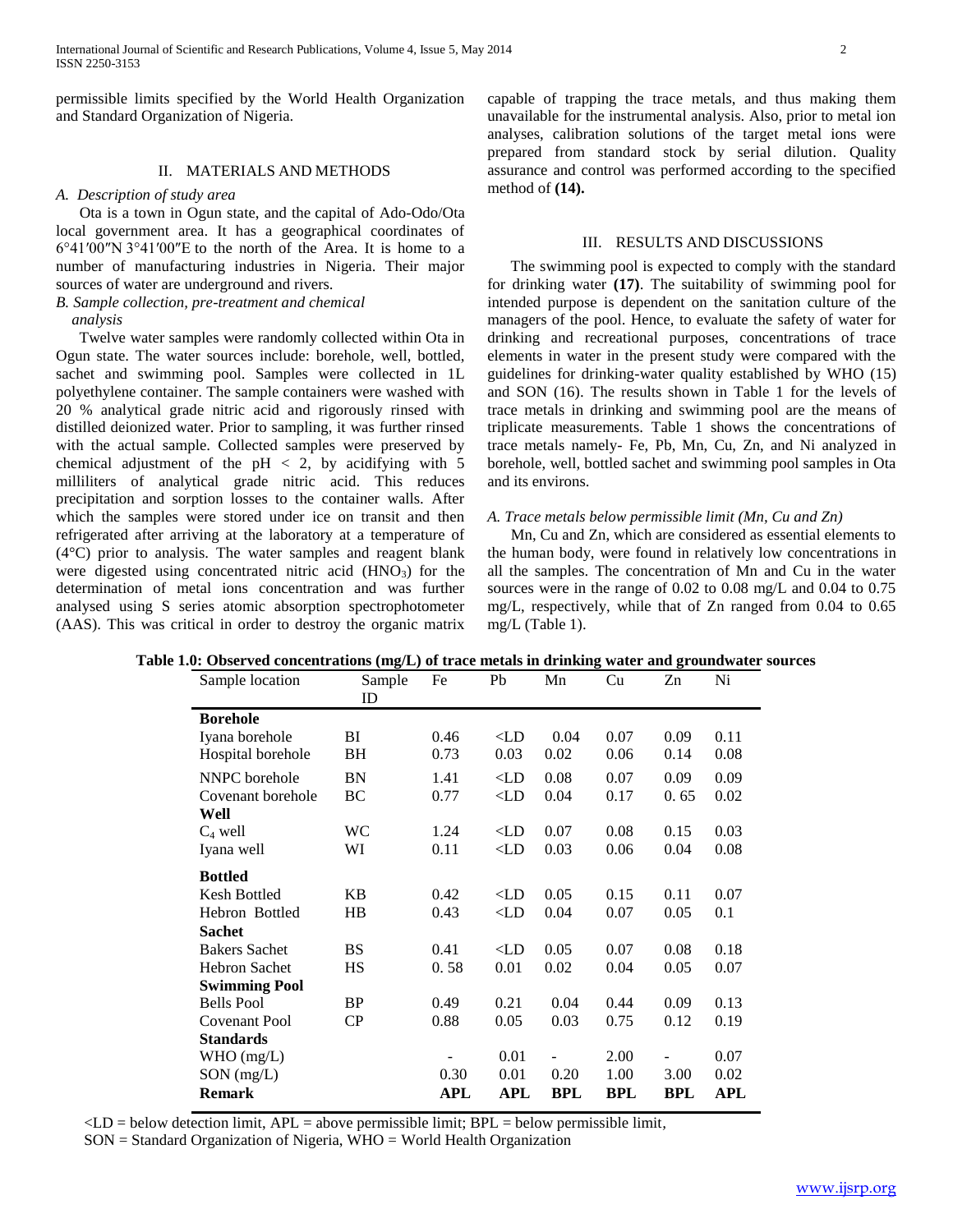permissible limits specified by the World Health Organization and Standard Organization of Nigeria.

## II. MATERIALS AND METHODS

#### *A. Description of study area*

 Ota is a town in Ogun state, and the capital of Ado-Odo/Ota local government area. It has a geographical coordinates of 6°41′00″N 3°41′00″E to the north of the Area. It is home to a number of manufacturing industries in Nigeria. Their major sources of water are underground and rivers.

## *B. Sample collection, pre-treatment and chemical analysis*

 Twelve water samples were randomly collected within Ota in Ogun state. The water sources include: borehole, well, bottled, sachet and swimming pool. Samples were collected in 1L polyethylene container. The sample containers were washed with 20 % analytical grade nitric acid and rigorously rinsed with distilled deionized water. Prior to sampling, it was further rinsed with the actual sample. Collected samples were preserved by chemical adjustment of the  $pH < 2$ , by acidifying with 5 milliliters of analytical grade nitric acid. This reduces precipitation and sorption losses to the container walls. After which the samples were stored under ice on transit and then refrigerated after arriving at the laboratory at a temperature of (4°C) prior to analysis. The water samples and reagent blank were digested using concentrated nitric acid  $(HNO<sub>3</sub>)$  for the determination of metal ions concentration and was further analysed using S series atomic absorption spectrophotometer (AAS). This was critical in order to destroy the organic matrix

capable of trapping the trace metals, and thus making them unavailable for the instrumental analysis. Also, prior to metal ion analyses, calibration solutions of the target metal ions were prepared from standard stock by serial dilution. Quality assurance and control was performed according to the specified method of **(14).**

#### III. RESULTS AND DISCUSSIONS

 The swimming pool is expected to comply with the standard for drinking water **(17)**. The suitability of swimming pool for intended purpose is dependent on the sanitation culture of the managers of the pool. Hence, to evaluate the safety of water for drinking and recreational purposes, concentrations of trace elements in water in the present study were compared with the guidelines for drinking-water quality established by WHO (15) and SON (16). The results shown in Table 1 for the levels of trace metals in drinking and swimming pool are the means of triplicate measurements. Table 1 shows the concentrations of trace metals namely- Fe, Pb, Mn, Cu, Zn, and Ni analyzed in borehole, well, bottled sachet and swimming pool samples in Ota and its environs.

#### *A. Trace metals below permissible limit (Mn, Cu and Zn)*

 Mn, Cu and Zn, which are considered as essential elements to the human body, were found in relatively low concentrations in all the samples. The concentration of Mn and Cu in the water sources were in the range of 0.02 to 0.08 mg/L and 0.04 to 0.75 mg/L, respectively, while that of Zn ranged from 0.04 to 0.65 mg/L (Table 1).

| $\omega$ . Observed concentrations (ing/L) or trace inclus in urinning water and groundwater. |              |      |              |            |      |      |      |
|-----------------------------------------------------------------------------------------------|--------------|------|--------------|------------|------|------|------|
| Sample location                                                                               | Sample<br>ID | Fe   | Pb           | Mn         | Cu   | Zn   | Ni   |
| <b>Borehole</b>                                                                               |              |      |              |            |      |      |      |
| Iyana borehole                                                                                | ВI           | 0.46 | $\langle$ LD | 0.04       | 0.07 | 0.09 | 0.11 |
| Hospital borehole                                                                             | BH           | 0.73 | 0.03         | 0.02       | 0.06 | 0.14 | 0.08 |
| NNPC borehole                                                                                 | <b>BN</b>    | 1.41 | $\langle$ LD | 0.08       | 0.07 | 0.09 | 0.09 |
| Covenant borehole                                                                             | BC           | 0.77 | $\langle$ LD | 0.04       | 0.17 | 0.65 | 0.02 |
| Well                                                                                          |              |      |              |            |      |      |      |
| $C_4$ well                                                                                    | <b>WC</b>    | 1.24 | $\langle$ LD | 0.07       | 0.08 | 0.15 | 0.03 |
| Iyana well                                                                                    | WI           | 0.11 | $\langle$ LD | 0.03       | 0.06 | 0.04 | 0.08 |
| <b>Bottled</b>                                                                                |              |      |              |            |      |      |      |
| <b>Kesh Bottled</b>                                                                           | KB           | 0.42 | $\langle$ LD | 0.05       | 0.15 | 0.11 | 0.07 |
| Hebron Bottled                                                                                | HB           | 0.43 | $\langle$ LD | 0.04       | 0.07 | 0.05 | 0.1  |
| <b>Sachet</b>                                                                                 |              |      |              |            |      |      |      |
| <b>Bakers Sachet</b>                                                                          | <b>BS</b>    | 0.41 | $\langle$ LD | 0.05       | 0.07 | 0.08 | 0.18 |
| <b>Hebron Sachet</b>                                                                          | HS           | 0.58 | 0.01         | 0.02       | 0.04 | 0.05 | 0.07 |
| <b>Swimming Pool</b>                                                                          |              |      |              |            |      |      |      |
| <b>Bells Pool</b>                                                                             | <b>BP</b>    | 0.49 | 0.21         | 0.04       | 0.44 | 0.09 | 0.13 |
| Covenant Pool                                                                                 | $\rm CP$     | 0.88 | 0.05         | 0.03       | 0.75 | 0.12 | 0.19 |
| <b>Standards</b>                                                                              |              |      |              |            |      |      |      |
| WHO (mg/L)                                                                                    |              |      | 0.01         |            | 2.00 |      | 0.07 |
| $SON$ (mg/L)                                                                                  |              | 0.30 | 0.01         | 0.20       | 1.00 | 3.00 | 0.02 |
| <b>Remark</b>                                                                                 |              | APL  | APL          | <b>BPL</b> | BPL  | BPL  | APL  |

## **Table 1.0: Observed concentrations (mg/L) of trace metals in drinking water and groundwater sources**

<LD = below detection limit, APL = above permissible limit; BPL = below permissible limit*,*

SON = Standard Organization of Nigeria, WHO = World Health Organization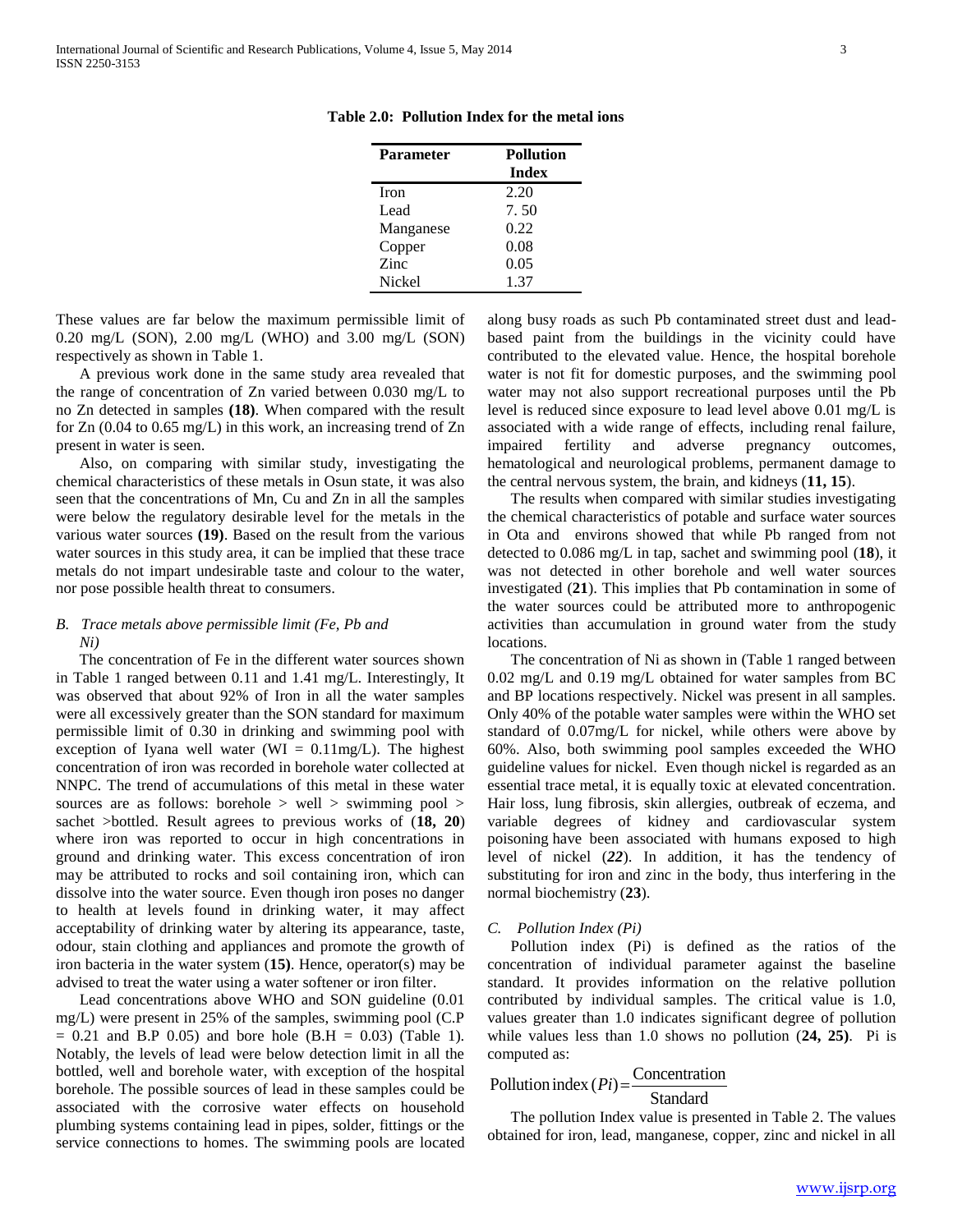| <b>Parameter</b> | <b>Pollution</b> |  |  |
|------------------|------------------|--|--|
|                  | <b>Index</b>     |  |  |
| <b>Iron</b>      | 2.20             |  |  |
| Lead             | 7.50             |  |  |
| Manganese        | 0.22             |  |  |
| Copper           | 0.08             |  |  |
| Zinc             | 0.05             |  |  |
| <b>Nickel</b>    | 1.37             |  |  |

**Table 2.0: Pollution Index for the metal ions**

These values are far below the maximum permissible limit of 0.20 mg/L (SON), 2.00 mg/L (WHO) and 3.00 mg/L (SON) respectively as shown in Table 1.

 A previous work done in the same study area revealed that the range of concentration of Zn varied between 0.030 mg/L to no Zn detected in samples **(18)**. When compared with the result for Zn (0.04 to 0.65 mg/L) in this work, an increasing trend of Zn present in water is seen.

 Also, on comparing with similar study, investigating the chemical characteristics of these metals in Osun state, it was also seen that the concentrations of Mn, Cu and Zn in all the samples were below the regulatory desirable level for the metals in the various water sources **(19)**. Based on the result from the various water sources in this study area, it can be implied that these trace metals do not impart undesirable taste and colour to the water, nor pose possible health threat to consumers.

## *B. Trace metals above permissible limit (Fe, Pb and Ni)*

 The concentration of Fe in the different water sources shown in Table 1 ranged between 0.11 and 1.41 mg/L. Interestingly, It was observed that about 92% of Iron in all the water samples were all excessively greater than the SON standard for maximum permissible limit of 0.30 in drinking and swimming pool with exception of Iyana well water (WI =  $0.11$ mg/L). The highest concentration of iron was recorded in borehole water collected at NNPC. The trend of accumulations of this metal in these water sources are as follows: borehole > well > swimming pool > sachet >bottled. Result agrees to previous works of (**18, 20**) where iron was reported to occur in high concentrations in ground and drinking water. This excess concentration of iron may be attributed to rocks and soil containing iron, which can dissolve into the water source. Even though iron poses no danger to health at levels found in drinking water, it may affect acceptability of drinking water by altering its appearance, taste, odour, stain clothing and appliances and promote the growth of iron bacteria in the water system (**15)**. Hence, operator(s) may be advised to treat the water using a water softener or iron filter.

 Lead concentrations above WHO and SON guideline (0.01 mg/L) were present in 25% of the samples, swimming pool (C.P  $= 0.21$  and B.P 0.05) and bore hole (B.H  $= 0.03$ ) (Table 1). Notably, the levels of lead were below detection limit in all the bottled, well and borehole water, with exception of the hospital borehole. The possible sources of lead in these samples could be associated with the corrosive water effects on household plumbing systems containing lead in pipes, solder, fittings or the service connections to homes. The swimming pools are located along busy roads as such Pb contaminated street dust and leadbased paint from the buildings in the vicinity could have contributed to the elevated value. Hence, the hospital borehole water is not fit for domestic purposes, and the swimming pool water may not also support recreational purposes until the Pb level is reduced since exposure to lead level above 0.01 mg/L is associated with a wide range of effects, including renal failure, impaired fertility and adverse pregnancy outcomes, hematological and neurological problems, permanent damage to the central nervous system, the brain, and kidneys (**11, 15**).

 The results when compared with similar studies investigating the chemical characteristics of potable and surface water sources in Ota and environs showed that while Pb ranged from not detected to 0.086 mg/L in tap, sachet and swimming pool (**18**), it was not detected in other borehole and well water sources investigated (**21**). This implies that Pb contamination in some of the water sources could be attributed more to anthropogenic activities than accumulation in ground water from the study locations.

 The concentration of Ni as shown in (Table 1 ranged between 0.02 mg/L and 0.19 mg/L obtained for water samples from BC and BP locations respectively. Nickel was present in all samples. Only 40% of the potable water samples were within the WHO set standard of 0.07mg/L for nickel, while others were above by 60%. Also, both swimming pool samples exceeded the WHO guideline values for nickel. Even though nickel is regarded as an essential trace metal, it is equally toxic at elevated concentration. Hair loss, lung fibrosis, skin allergies, outbreak of eczema, and variable degrees of kidney and cardiovascular system poisoning have been associated with humans exposed to high level of nickel (*22*). In addition, it has the tendency of substituting for iron and zinc in the body, thus interfering in the normal biochemistry (**23**).

### *C. Pollution Index (Pi)*

 Pollution index (Pi) is defined as the ratios of the concentration of individual parameter against the baseline standard. It provides information on the relative pollution contributed by individual samples. The critical value is 1.0, values greater than 1.0 indicates significant degree of pollution while values less than 1.0 shows no pollution (**24, 25)**. Pi is computed as:

# Pollution index  $(Pi) = \frac{\text{Concentration}}{\text{Standard}}$

Standard

 The pollution Index value is presented in Table 2. The values obtained for iron, lead, manganese, copper, zinc and nickel in all